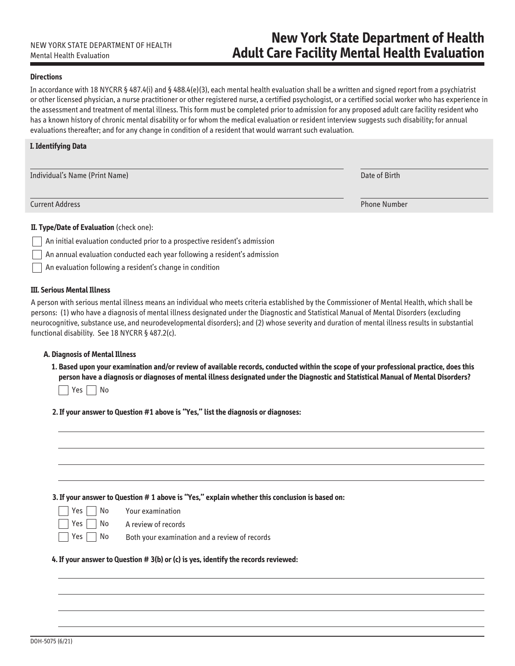# **New York State Department of Health** NEW YORK STATE DEPARTMENT OF HEALTH<br>Mental Health Evaluation **New York State Department of Health**

### **Directions**

In accordance with 18 NYCRR § 487.4(i) and § 488.4(e)(3), each mental health evaluation shall be a written and signed report from a psychiatrist or other licensed physician, a nurse practitioner or other registered nurse, a certified psychologist, or a certified social worker who has experience in the assessment and treatment of mental illness. This form must be completed prior to admission for any proposed adult care facility resident who has a known history of chronic mental disability or for whom the medical evaluation or resident interview suggests such disability; for annual evaluations thereafter; and for any change in condition of a resident that would warrant such evaluation.

### **I. Identifying Data**

| Individual's Name (Print Name) | Date of Birth       |
|--------------------------------|---------------------|
| <b>Current Address</b>         | <b>Phone Number</b> |
|                                |                     |

# **II. Type/Date of Evaluation** (check one):

- An initial evaluation conducted prior to a prospective resident's admission
- An annual evaluation conducted each year following a resident's admission
- An evaluation following a resident's change in condition

# **III. Serious Mental Illness**

 $\overline{\phantom{a}}$ 

A person with serious mental illness means an individual who meets criteria established by the Commissioner of Mental Health, which shall be persons: (1) who have a diagnosis of mental illness designated under the Diagnostic and Statistical Manual of Mental Disorders (excluding neurocognitive, substance use, and neurodevelopmental disorders); and (2) whose severity and duration of mental illness results in substantial functional disability. See 18 NYCRR § 487.2(c).

### **A. Diagnosis of Mental Illness**

 **1. Based upon your examination and/or review of available records, conducted within the scope of your professional practice, does this person have a diagnosis or diagnoses of mental illness designated under the Diagnostic and Statistical Manual of Mental Disorders?**

 $\exists$  Yes  $\Box$  No

**2. If your answer to Question #1 above is "Yes," list the diagnosis or diagnoses:**

| 3. If your answer to Question # 1 above is "Yes," explain whether this conclusion is based on:<br>Yes  <br>No<br>Your examination<br>Yes  <br>No<br>A review of records<br>No<br>Yes  <br>Both your examination and a review of records<br>4. If your answer to Question # 3(b) or (c) is yes, identify the records reviewed: |  |
|-------------------------------------------------------------------------------------------------------------------------------------------------------------------------------------------------------------------------------------------------------------------------------------------------------------------------------|--|
|                                                                                                                                                                                                                                                                                                                               |  |
|                                                                                                                                                                                                                                                                                                                               |  |
|                                                                                                                                                                                                                                                                                                                               |  |
|                                                                                                                                                                                                                                                                                                                               |  |
|                                                                                                                                                                                                                                                                                                                               |  |
|                                                                                                                                                                                                                                                                                                                               |  |
|                                                                                                                                                                                                                                                                                                                               |  |
|                                                                                                                                                                                                                                                                                                                               |  |
|                                                                                                                                                                                                                                                                                                                               |  |
|                                                                                                                                                                                                                                                                                                                               |  |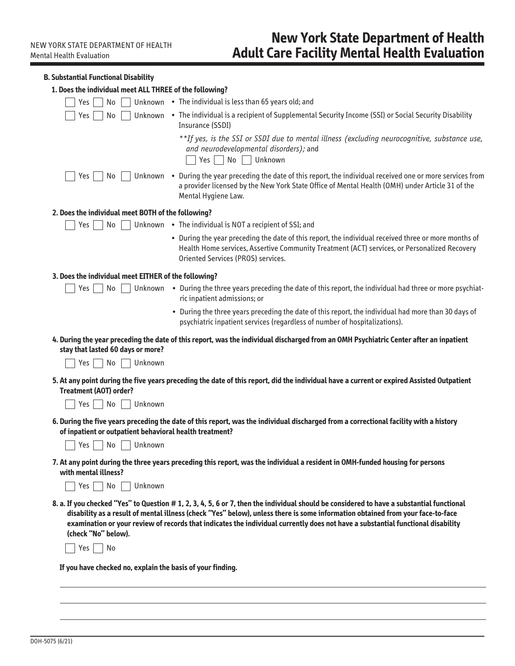**B. Substantial Functional Disability** 

| 1. Does the individual meet ALL THREE of the following?    |                                                                                                                                                                                                                                                                                                                                                                                                                |
|------------------------------------------------------------|----------------------------------------------------------------------------------------------------------------------------------------------------------------------------------------------------------------------------------------------------------------------------------------------------------------------------------------------------------------------------------------------------------------|
| No<br>Yes                                                  | Unknown • The individual is less than 65 years old; and                                                                                                                                                                                                                                                                                                                                                        |
| No<br>Yes                                                  | Unknown . The individual is a recipient of Supplemental Security Income (SSI) or Social Security Disability<br>Insurance (SSDI)                                                                                                                                                                                                                                                                                |
|                                                            | **If yes, is the SSI or SSDI due to mental illness (excluding neurocognitive, substance use,<br>and neurodevelopmental disorders); and<br>No Unknown<br>$Yes$                                                                                                                                                                                                                                                  |
| No<br>Yes                                                  | Unknown . During the year preceding the date of this report, the individual received one or more services from<br>a provider licensed by the New York State Office of Mental Health (OMH) under Article 31 of the<br>Mental Hygiene Law.                                                                                                                                                                       |
| 2. Does the individual meet BOTH of the following?         |                                                                                                                                                                                                                                                                                                                                                                                                                |
| No<br>Yes                                                  | Unknown • The individual is NOT a recipient of SSI; and                                                                                                                                                                                                                                                                                                                                                        |
|                                                            | • During the year preceding the date of this report, the individual received three or more months of<br>Health Home services, Assertive Community Treatment (ACT) services, or Personalized Recovery<br>Oriented Services (PROS) services.                                                                                                                                                                     |
| 3. Does the individual meet EITHER of the following?       |                                                                                                                                                                                                                                                                                                                                                                                                                |
| No<br>Yes                                                  | Unknown • During the three years preceding the date of this report, the individual had three or more psychiat-<br>ric inpatient admissions; or                                                                                                                                                                                                                                                                 |
|                                                            | • During the three years preceding the date of this report, the individual had more than 30 days of<br>psychiatric inpatient services (regardless of number of hospitalizations).                                                                                                                                                                                                                              |
| stay that lasted 60 days or more?                          | 4. During the year preceding the date of this report, was the individual discharged from an OMH Psychiatric Center after an inpatient                                                                                                                                                                                                                                                                          |
| Unknown<br>No<br>Yes                                       |                                                                                                                                                                                                                                                                                                                                                                                                                |
| <b>Treatment (AOT) order?</b><br>Unknown<br>No<br>Yes      | 5. At any point during the five years preceding the date of this report, did the individual have a current or expired Assisted Outpatient                                                                                                                                                                                                                                                                      |
|                                                            |                                                                                                                                                                                                                                                                                                                                                                                                                |
| of inpatient or outpatient behavioral health treatment?    | 6. During the five years preceding the date of this report, was the individual discharged from a correctional facility with a history                                                                                                                                                                                                                                                                          |
| Unknown<br>No<br>Yes                                       |                                                                                                                                                                                                                                                                                                                                                                                                                |
| with mental illness?                                       | 7. At any point during the three years preceding this report, was the individual a resident in OMH-funded housing for persons                                                                                                                                                                                                                                                                                  |
| No<br>Yes  <br>Unknown                                     |                                                                                                                                                                                                                                                                                                                                                                                                                |
| (check "No" below).                                        | 8. a. If you checked "Yes" to Question # 1, 2, 3, 4, 5, 6 or 7, then the individual should be considered to have a substantial functional<br>disability as a result of mental illness (check "Yes" below), unless there is some information obtained from your face-to-face<br>examination or your review of records that indicates the individual currently does not have a substantial functional disability |
| No<br>Yes                                                  |                                                                                                                                                                                                                                                                                                                                                                                                                |
| If you have checked no, explain the basis of your finding. |                                                                                                                                                                                                                                                                                                                                                                                                                |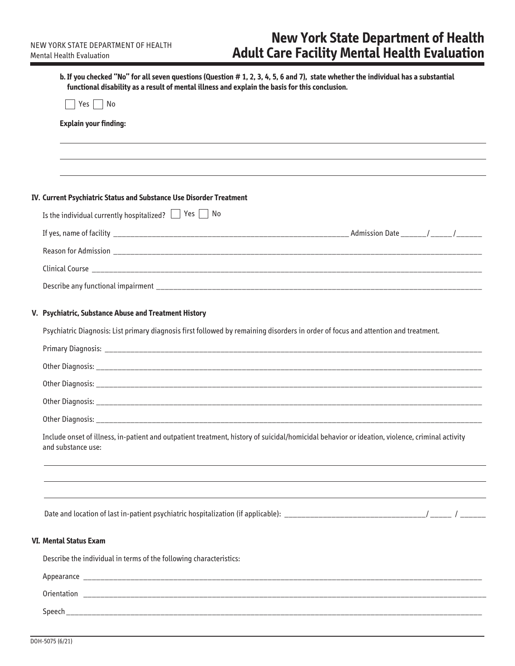| functional disability as a result of mental illness and explain the basis for this conclusion.                                                                       |
|----------------------------------------------------------------------------------------------------------------------------------------------------------------------|
| Yes     No                                                                                                                                                           |
| <b>Explain your finding:</b>                                                                                                                                         |
|                                                                                                                                                                      |
|                                                                                                                                                                      |
| IV. Current Psychiatric Status and Substance Use Disorder Treatment                                                                                                  |
| Is the individual currently hospitalized? $\Box$ Yes $\Box$ No                                                                                                       |
|                                                                                                                                                                      |
|                                                                                                                                                                      |
|                                                                                                                                                                      |
|                                                                                                                                                                      |
| V. Psychiatric, Substance Abuse and Treatment History                                                                                                                |
| Psychiatric Diagnosis: List primary diagnosis first followed by remaining disorders in order of focus and attention and treatment.                                   |
|                                                                                                                                                                      |
|                                                                                                                                                                      |
|                                                                                                                                                                      |
|                                                                                                                                                                      |
|                                                                                                                                                                      |
| Include onset of illness, in-patient and outpatient treatment, history of suicidal/homicidal behavior or ideation, violence, criminal activity<br>and substance use: |
|                                                                                                                                                                      |
|                                                                                                                                                                      |
| <b>VI. Mental Status Exam</b>                                                                                                                                        |
|                                                                                                                                                                      |
| Describe the individual in terms of the following characteristics:                                                                                                   |
|                                                                                                                                                                      |
|                                                                                                                                                                      |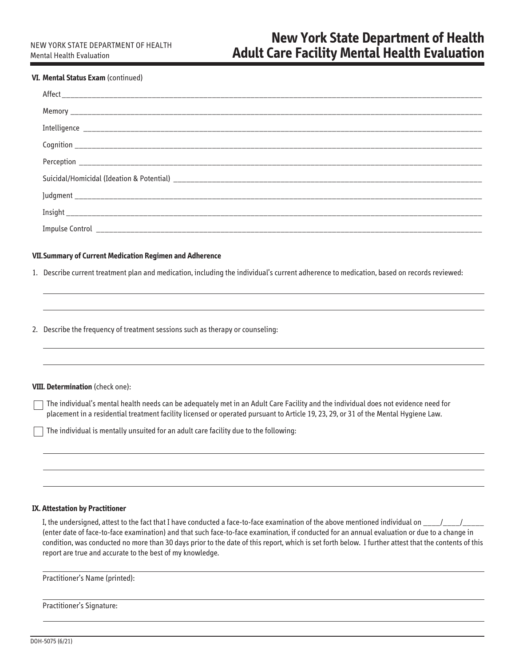### **VI. Mental Status Exam** (continued)

| <b>VII. Summary of Current Medication Regimen and Adherence</b>                                                                           |
|-------------------------------------------------------------------------------------------------------------------------------------------|
| 1. Describe current treatment plan and medication, including the individual's current adherence to medication, based on records reviewed: |
|                                                                                                                                           |
|                                                                                                                                           |
| 2. Describe the frequency of treatment sessions such as therapy or counseling:                                                            |

### **VIII. Determination** (check one):

The individual's mental health needs can be adequately met in an Adult Care Facility and the individual does not evidence need for placement in a residential treatment facility licensed or operated pursuant to Article 19, 23, 29, or 31 of the Mental Hygiene Law.

The individual is mentally unsuited for an adult care facility due to the following:

### **IX. Attestation by Practitioner**

I, the undersigned, attest to the fact that I have conducted a face-to-face examination of the above mentioned individual on \_\_\_\_/\_\_\_\_/\_\_\_\_ (enter date of face-to-face examination) and that such face-to-face examination, if conducted for an annual evaluation or due to a change in condition, was conducted no more than 30 days prior to the date of this report, which is set forth below. I further attest that the contents of this report are true and accurate to the best of my knowledge.

Practitioner's Name (printed):

Practitioner's Signature: